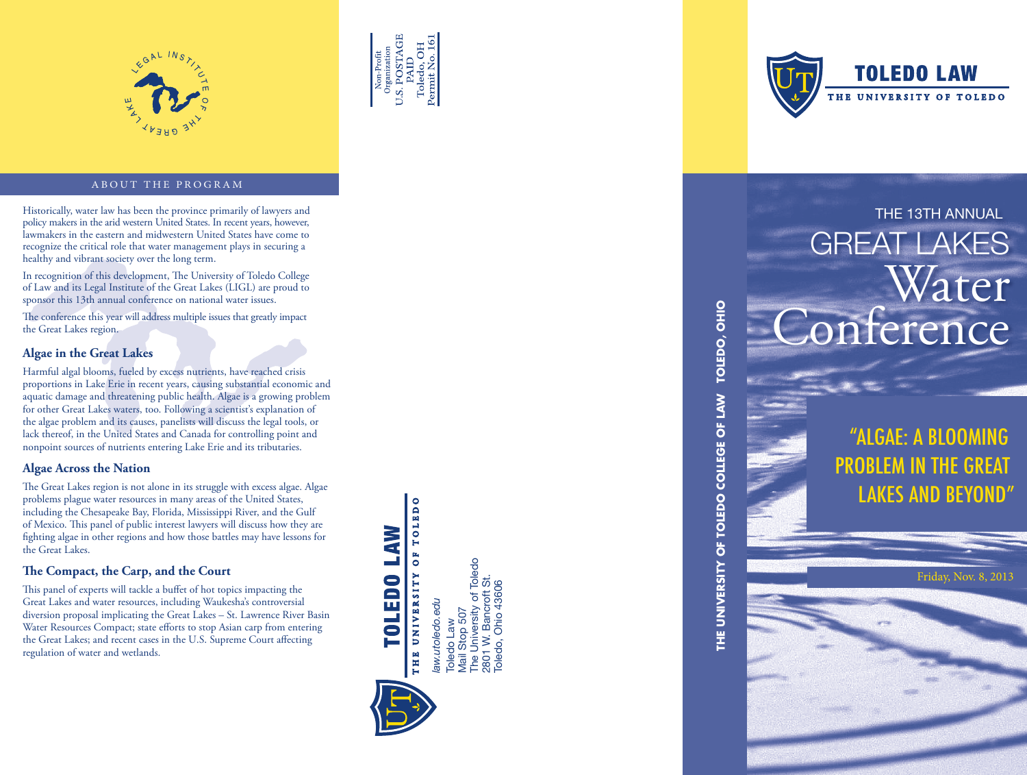



#### ABOUT THE PROGRAM

Historically, water law has been the province primarily of lawyers and **THE 13TH ANNUAL** policy makers in the arid western United States. In recent years, however, lawmakers in the eastern and midwestern United States have come to recognize the critical role that water management plays in securing a healthy and vibrant society over the long term.

In recognition of this development, The University of Toledo College of Law and its Legal Institute of the Great Lakes (LIGL) are proud to sponsor this 13th annual conference on national water issues.

The conference this year will address multiple issues that greatly impact the Great Lakes region.

#### **Algae in the Great Lakes**

Harmful algal blooms, fueled by excess nutrients, have reached crisis proportions in Lake Erie in recent years, causing substantial economic and aquatic damage and threatening public health. Algae is a growing problem for other Great Lakes waters, too. Following a scientist's explanation of the algae problem and its causes, panelists will discuss the legal tools, or lack thereof, in the United States and Canada for controlling point and nonpoint sources of nutrients entering Lake Erie and its tributaries.

#### **Algae Across the Nation**

The Great Lakes region is not alone in its struggle with excess algae. Algae problems plague water resources in many areas of the United States, including the Chesapeake Bay, Florida, Mississippi River, and the Gulf of Mexico. This panel of public interest lawyers will discuss how they are fighting algae in other regions and how those battles may have lessons for the Great Lakes.

#### **The Compact, the Carp, and the Court**

This panel of experts will tackle a buffet of hot topics impacting the Great Lakes and water resources, including Waukesha's controversial diversion proposal implicating the Great Lakes – St. Lawrence River Basin Water Resources Compact; state efforts to stop Asian carp from entering the Great Lakes; and recent cases in the U.S. Supreme Court affecting regulation of water and wetlands.

OF TOLEDO **LOTEDO TVM** THE UNIVERSITY

Toledo Law<br>Mail Stop 507<br>The University of Toledo<br>2801 W. Bancroft St.<br>Toledo, Ohio 43606 The University of Toledo 2801 W. Bancroft St. Toledo, Ohio 43606law.utoledo.edu *law.utoledo.edu* Mail Stop 507 Toledo Law



**TOLEDO LAW** THE UNIVERSITY OF TOLEDO

# GREAT LAKES Water onference

"ALGAE: A BLOOMING PROBLEM IN THE GREAT **LAKES AND BEYO** 

**THE UNIVERSITY OF TOLEDO COLLEGE OF LAW TOLEDO, OHIO**

THE UNIVERSITY OF TOLEDO COLLEGE OF LAW

TOLEDO, OHIO

Friday, Nov. 8, 2013